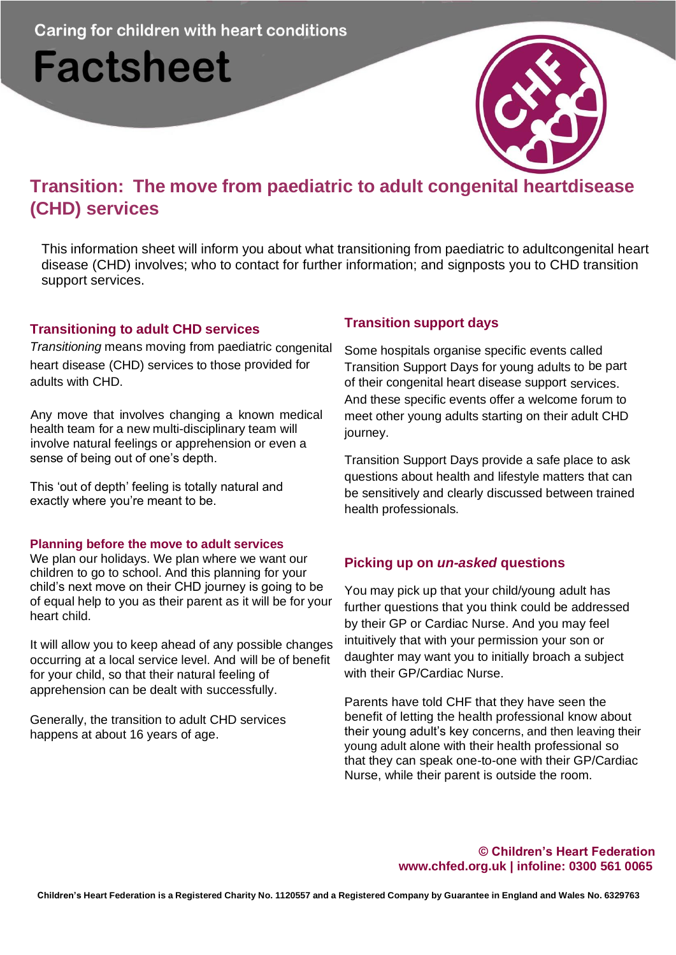# **Factsheet**



## **Transition: The move from paediatric to adult congenital heartdisease (CHD) services**

This information sheet will inform you about what transitioning from paediatric to adultcongenital heart disease (CHD) involves; who to contact for further information; and signposts you to CHD transition support services.

#### **Transitioning to adult CHD services**

*Transitioning* means moving from paediatric congenital heart disease (CHD) services to those provided for adults with CHD.

Any move that involves changing a known medical health team for a new multi-disciplinary team will involve natural feelings or apprehension or even a sense of being out of one's depth.

This 'out of depth' feeling is totally natural and exactly where you're meant to be.

#### **Planning before the move to adult services**

We plan our holidays. We plan where we want our children to go to school. And this planning for your child's next move on their CHD journey is going to be of equal help to you as their parent as it will be for your heart child.

It will allow you to keep ahead of any possible changes occurring at a local service level. And will be of benefit for your child, so that their natural feeling of apprehension can be dealt with successfully.

Generally, the transition to adult CHD services happens at about 16 years of age.

## **Transition support days**

Some hospitals organise specific events called Transition Support Days for young adults to be part of their congenital heart disease support services. And these specific events offer a welcome forum to meet other young adults starting on their adult CHD journey.

Transition Support Days provide a safe place to ask questions about health and lifestyle matters that can be sensitively and clearly discussed between trained health professionals.

#### **Picking up on** *un-asked* **questions**

You may pick up that your child/young adult has further questions that you think could be addressed by their GP or Cardiac Nurse. And you may feel intuitively that with your permission your son or daughter may want you to initially broach a subject with their GP/Cardiac Nurse.

Parents have told CHF that they have seen the benefit of letting the health professional know about their young adult's key concerns, and then leaving their young adult alone with their health professional so that they can speak one-to-one with their GP/Cardiac Nurse, while their parent is outside the room.

#### **© Children's Heart Federation [www.chfed.org.uk](http://www.chfed.org.uk/) | infoline: 0300 561 0065**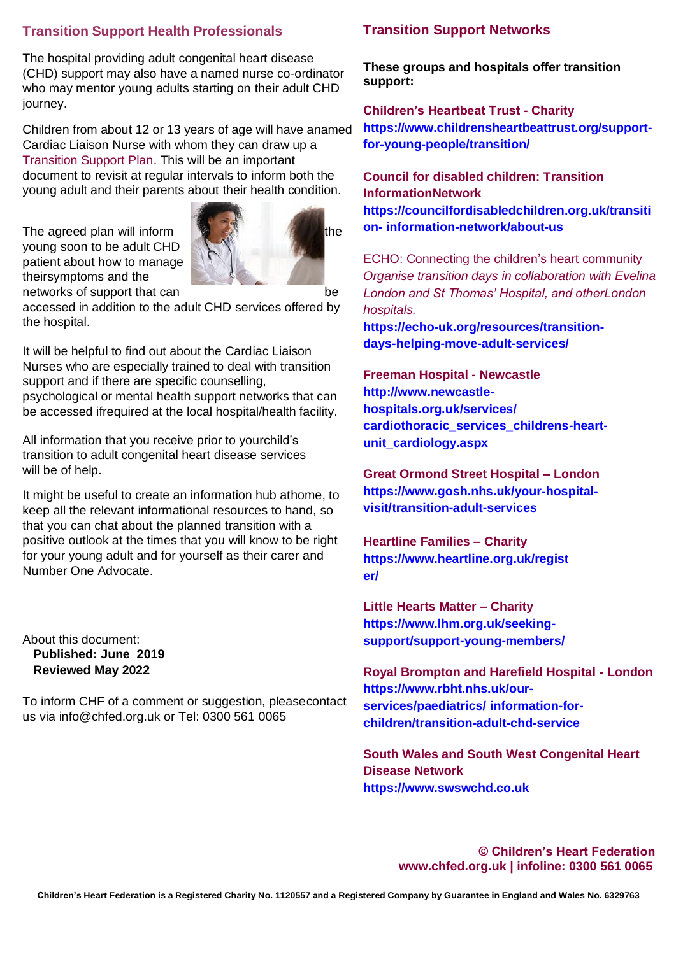### **Transition Support Health Professionals**

The hospital providing adult congenital heart disease (CHD) support may also have a named nurse co-ordinator who may mentor young adults starting on their adult CHD journey.

Children from about 12 or 13 years of age will have anamed Cardiac Liaison Nurse with whom they can draw up a Transition Support Plan. This will be an important document to revisit at regular intervals to inform both the young adult and their parents about their health condition.

The agreed plan will inform the settlement of the the young soon to be adult CHD patient about how to manage theirsymptoms and the networks of support that can be



accessed in addition to the adult CHD services offered by the hospital.

It will be helpful to find out about the Cardiac Liaison Nurses who are especially trained to deal with transition support and if there are specific counselling, psychological or mental health support networks that can be accessed ifrequired at the local hospital/health facility.

All information that you receive prior to yourchild's transition to adult congenital heart disease services will be of help.

It might be useful to create an information hub athome, to keep all the relevant informational resources to hand, so that you can chat about the planned transition with a positive outlook at the times that you will know to be right for your young adult and for yourself as their carer and Number One Advocate.

About this document: **Published: June 2019 Reviewed May 2022**

To inform CHF of a comment or suggestion, pleasecontact us via [info@chfed.org.uk](mailto:info@chfed.org.uk) or Tel: 0300 561 0065

#### **Transition Support Networks**

**These groups and hospitals offer transition support:**

**Children's Heartbeat Trust - Charity [https://www.childrensheartbeattrust.org/support](http://www.childrensheartbeattrust.org/support-for-)[for-y](http://www.childrensheartbeattrust.org/support-for-)oung-people/transition/**

**Council for disabled children: Transition InformationNetwork https://councilfordisabledchildren.org.uk/transiti on- information-network/about-us**

ECHO: Connecting the children's heart community *Organise transition days in collaboration with Evelina London and St Thomas' Hospital, and otherLondon hospitals.*

**https://echo-uk.org/resources/transitiondays-helping-move-adult-services/**

**Freeman Hospital - Newcastle [http://www.newcastle](http://www.newcastle-hospitals.org.uk/services/)[hospitals.org.uk/services/](http://www.newcastle-hospitals.org.uk/services/) cardiothoracic\_services\_childrens-heartunit\_cardiology.aspx**

**Great Ormond Street Hospital – London [https://www.gosh.nhs.uk/your-hospital](http://www.gosh.nhs.uk/your-hospital-visit/)[visit/t](http://www.gosh.nhs.uk/your-hospital-visit/)ransition-adult-services**

**Heartline Families – Charity [https://www.heartline.org.uk/regist](http://www.heartline.org.uk/register/) [er/](http://www.heartline.org.uk/register/)**

**Little Hearts Matter – Charity [https://www.lhm.org.uk/seeking](http://www.lhm.org.uk/seeking-support/support-)[support/support-y](http://www.lhm.org.uk/seeking-support/support-)oung-members/**

**Royal Brompton and Harefield Hospital - London [https://www.rbht.nhs.uk/our](http://www.rbht.nhs.uk/our-services/paediatrics/)[services/paediatrics/](http://www.rbht.nhs.uk/our-services/paediatrics/) information-forchildren/transition-adult-chd-service**

**South Wales and South West Congenital Heart Disease Network [https://www.swswchd.co.uk](http://www.swswchd.co.uk/)**

> **© Children's Heart Federation [www.chfed.org.uk](http://www.chfed.org.uk/) | infoline: 0300 561 0065**